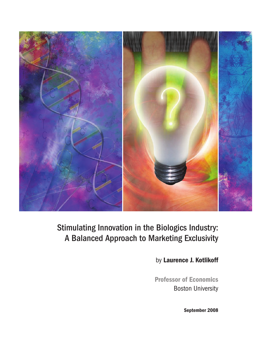

# Stimulating Innovation in the Biologics Industry: A Balanced Approach to Marketing Exclusivity

by **Laurence J. Kotlikoff**

**Professor of Economics** Boston University

**September 2008**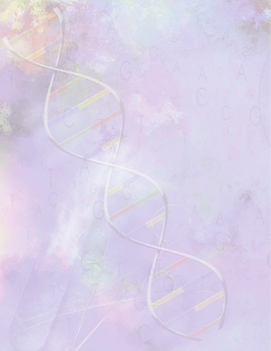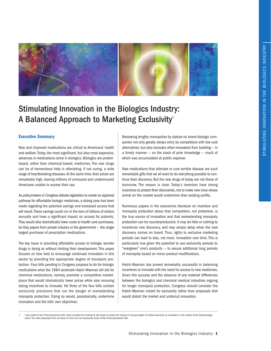

# Stimulating Innovation in the Biologics Industry: A Balanced Approach to Marketing Exclusivity<sup>1</sup>

### **Executive Summary**

New and improved medications are critical to Americans' health and welfare. Today, the most significant, but also most expensive, advances in medications come in *biologics*. Biologics are proteinbased, rather than chemical-based, medicines. The new drugs can be of tremendous help in alleviating, if not curing, a wide range of heartbreaking diseases. At the same time, their prices are remarkably high, leaving millions of uninsured and underinsured Americans unable to access their use.

As policymakers in Congress debate legislation to create an approval pathway for affordable biologic medicines, a strong case has been made regarding the potential savings and increased access that will result. These savings could run in the tens of billions of dollars annually and have a significant impact on access for patients. They would also dramatically lower costs to health care purchases, be they payors from private industry or the government — the single largest purchaser of prescription medications.

The key issue in providing affordable access to biologic wonder drugs is doing so without limiting their development. This paper focuses on how best to encourage continued innovation in this sector by providing the appropriate degree of monopoly protection. Four bills pending in Congress propose to do for biologic medications what the 1984 landmark Hatch-Waxman bill did for chemical medications, namely, promote a competitive marketplace that would dramatically lower prices while also ensuring strong incentives to innovate. Yet three of the four bills contain *exclusivity* provisions that run the danger of overextending monopoly protection. Doing so would, paradoxically, undermine innovation and the bills' own objectives.

Bestowing lengthy monopolies by statute on brand biologic companies not only greatly delays entry by competitors with low-cost alternatives, but also excludes other innovators from building — in a timely manner — on the stock of prior knowledge — much of which was accumulated at public expense.

New medications that alleviate or cure terrible disease are such remarkable gifts that we all want to do everything possible to continue their discovery. But the new drugs of today are not those of tomorrow. The reason is clear. Today's inventors have strong incentives to protect their discoveries, not to make new ones whose arrival on the market would undermine their existing profits.

Numerous papers in the economics literature on invention and monopoly protection stress that competition, not protection, is the true source of innovation and that overextending monopoly protection can be counterproductive. It may do little or nothing to incentivize new discovery, and may simply delay when the next discovery comes on board. Thus, rights to exclusive marketing periods can lead to less, not more, innovation over time. This is particularly true given the potential to use exclusivity periods to "evergreen" one's products — to secure additional long periods of monopoly based on minor product modifications.

Hatch-Waxman has proved remarkably successful in balancing incentives to innovate with the need for access to new medicines. Given this success and the absence of any material differences between the biologics and chemical medical industries arguing for longer monopoly protection, Congress should consider the Hatch-Waxman model for exclusivity rather than proposals that would distort the market and undercut innovation.

I was asked by Teva Pharmaceuticals USA, which provided the funding for this study, to assess the impact of varying lengths of market exclusivity on innovation in the context of the biotechnology sector. The views expressed here are those of mine and not necessarily those of Teva Pharmaceuticals USA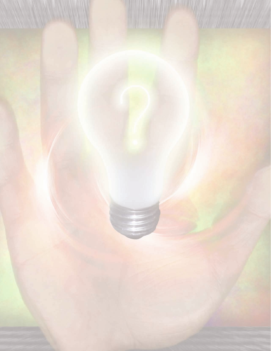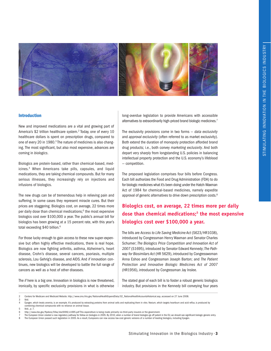![](_page_4_Picture_1.jpeg)

#### **Introduction**

New and improved medications are a vital and growing part of America's \$2 trillion healthcare system.<sup>2</sup> Today, one of every 10 healthcare dollars is spent on prescription drugs, compared to one of every 20 in 1980.<sup>3</sup> The nature of medicines is also changing. The most significant, but also most expensive, advances are coming in *biologics*.

Biologics are protein-based, rather than chemical-based, medicines.4 When Americans take pills, capsules, and liquid medications, they are taking chemical compounds. But for many serious illnesses, they increasingly rely on injections and infusions of biologics.

The new drugs can be of tremendous help in relieving pain and suffering. In some cases they represent miracle cures. But their prices are staggering. Biologics cost, on average, 22 times more per daily dose than chemical medications;<sup>5</sup> the most expensive biologics cost over \$100,000 a year. The public's annual bill for biologics has been growing at a 15 percent rate, with this year's total exceeding \$40 billion.<sup>6</sup>

For those lucky enough to gain access to these new super-expensive but often highly effective medications, there is real hope. Biologics are now fighting arthritis, asthma, Alzheimer's, heart disease, Crohn's disease, several cancers, psoriasis, multiple sclerosis, Lou Gehrig's disease, and AIDS. And *if* innovation continues, new biologics will be developed to battle the full range of cancers as well as a host of other diseases.

The *if* here is a big one. Innovation in biologics is now threatened, ironically, by specific exclusivity provisions in what is otherwise long-overdue legislation to provide Americans with accessible alternatives to extraordinarily high-priced brand biologic medicines.<sup>7</sup>

The exclusivity provisions come in two forms — *data exclusivity* and *approval exclusivity* (often referred to as market exclusivity). Both extend the duration of monopoly protection afforded brand drug products; i.e., both convey *marketing exclusivity*. And both depart very sharply from longstanding U.S. policies in balancing intellectual property protection and the U.S. economy's lifeblood — competition.

The proposed legislation comprises four bills before Congress. Each bill authorizes the Food and Drug Administration (FDA) to do for biologic medicines what it's been doing under the Hatch-Waxman Act of 1984 for chemical-based medicines, namely expedite approval of generic alternatives to drive down prescription costs.<sup>8</sup>

# **Biologics cost, on average, 22 times more per daily dose than chemical medications;5 the most expensive biologics cost over \$100,000 a year.**

The bills are *Access to Life Saving Medicine Act* (S623/HR1038), introduced by Congressman Henry Waxman and Senator Charles Schumer; *The Biologics Price Competition and Innovation Act of 2007* (S1695), introduced by Senator Edward Kennedy;*The Pathway for Biosimilars Act* (HR 5629), introduced by Congresswoman Anna Eshoo and Congressman Joseph Barton; and *The Patient Protection and Innovative Biologic Medicines Act of 2007* (HR1956), introduced by Congressman Jay Inslee.

The stated goal of each bill is to foster a robust generic biologics industry. But provisions in the Kennedy bill conveying four years

 $3$  Ibid.<br> $4$  Enge Epogen, which treats anemia, is an example. It's produced by extracting proteins from animal cells and replicating them in vitro. Nexium, which targets heartburn and acid reflux, is produced by combining chemical compounds with no reliance on animal tissue.

5 Ibid., p. 7.

<sup>2</sup> Centers for Medicare and Medicaid Website. http://www.cms.hhs.gov/NationalHealthExpendData/02\_NationalHealthAccountsHistorical.asp, accessed on 27 June 2008<br>3 Ibid.

<sup>6</sup> http://www.cbo.gov/ftpdocs/94xx/doc9496/s1695.pdf This expenditure is being made primarily via third-party insurers or the government.

<sup>7</sup> The European Union created a new regulatory pathway for follow-on biologics in 2005. By 2010, when a number of brand biologics go off patent in the EU, we should see significant biologic generic entry.<br>8 The European Uni

The European Union passed such legislation in 2005. As a result, Europeans can now access low-cost generic versions of a number of leading biologics, including Epogen.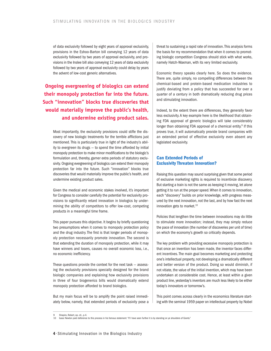of data exclusivity followed by eight years of approval exclusivity, provisions in the Eshoo-Barton bill conveying 12 years of data exclusivity followed by two years of approval exclusivity, and provisions in the Inslee bill also conveying 12 years of data exclusivity followed by two years of approval exclusivity could delay by years the advent of low-cost generic alternatives.

**Ongoing evergreening of biologics can extend their monopoly protection far into the future. Such "innovation" blocks true discoveries that would materially improve the public's health, and undermine existing product sales.**

Most importantly, the exclusivity provisions could stifle the discovery of new biologic treatments for the terrible afflictions just mentioned. This is particularly true in light of the industry's ability to *evergreen* its drugs — to spend the time afforded by initial monopoly protection to make minor modifications to the biologic's formulation and, thereby, garner extra periods of statutory exclusivity. Ongoing evergreening of biologics can extend their monopoly protection far into the future. Such "innovation" blocks true discoveries that would materially improve the public's health, and undermine existing product sales.

Given the medical and economic stakes involved, it's important for Congress to consider carefully the potential for exclusivity provisions to significantly retard innovation in biologics by undermining the ability of competitors to offer low-cost, competing products in a meaningful time frame.

This paper pursues this objective. It begins by briefly questioning two presumptions when it comes to monopoly protection policy and the drug industry. The first is that longer periods of monopoly protection necessarily promote innovation. The second is that extending the duration of monopoly protection, while it may have winners and losers, causes no overall economic loss, i.e., no economic inefficiency.

These questions provide the context for the next task — assessing the exclusivity provisions specially designed for the brand biologic companies and explaining how exclusivity provisions in three of four biogenerics bills would dramatically extend monopoly protection afforded to brand biologics.

But my main focus will be to amplify the point raised immediately below, namely, that extended periods of exclusivity pose a

threat to sustaining a rapid rate of innovation. This analysis forms the basis for my recommendation that when it comes to promoting biologic competition Congress should stick with what works, namely Hatch-Waxman, with its very limited exclusivity.

Economic theory speaks clearly here. So does the evidence. There are, quite simply, no compelling differences between the chemical-based and protein-based medication industries to justify deviating from a policy that has succeeded for over a quarter of a century in both dramatically reducing drug prices and stimulating innovation.

Indeed, to the extent there are differences, they generally favor less exclusivity. A key example here is the likelihood that obtaining FDA approval of generic biologics will take considerably longer than obtaining FDA approval of a chemical entity.<sup>9</sup> If this proves true, it will automatically provide brand companies with an extended period of effective exclusivity even absent any legislated exclusivity.

# **Can Extended Periods of Exclusivity Threaten Innovation?**

Raising this question may sound surprising given that some period of exclusive marketing rights is required to incentivize discovery. But starting a train is not the same as keeping it moving, let alone getting it to run at the proper speed. When it comes to innovation, each "discovery" builds on prior knowledge, with progress measured by the next innovation, not the last, and by how fast the next innovation gets to market.<sup>10</sup>

Policies that lengthen the time between innovations may do little to stimulate more innovation; instead, they may simply reduce the pace of innovation (the number of discoveries per unit of time) on which the economy's growth so critically depends.

The key problem with providing excessive monopoly protection is that once an invention has been made, the inventor faces different incentives. The main goal becomes marketing and protecting one's intellectual property, not developing a dramatically different and better version of the product. Doing so would diminish, if not vitiate, the value of the initial invention, which may have been undertaken at considerable cost. Hence, at least within a given product line, yesterday's inventors are much less likely to be either today's innovators or tomorrow's.

This point comes across clearly in the economics literature starting with the seminal 1959 paper on intellectual property by Nobel

Shapiro, Robert, op. cit., p.4.

<sup>10</sup> Isaac Newton paid deference to this process in his famous statement: "If I have seen further it is by standing on ye shoulders of Giants."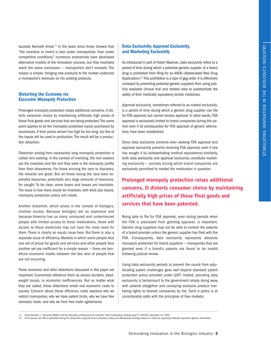laureate Kenneth Arrow.<sup>11</sup> In the years since Arrow showed that "the incentive to invent is less under monopolistic than under competitive conditions," numerous economists have developed alternative models of the innovation process, but they invariably reach the same conclusion — *monopolists don't innovate*. The reason is simple: bringing new products to the market undercuts a monopolist's revenues on his existing products.

#### **Distorting the Economy via Excessive Monopoly Protection**

Prolonged monopoly protection raises additional concerns. It distorts consumer choice by maintaining artificially high prices of those final goods and services that are being protected. The same point applies to all the monopoly-protected inputs purchased by businesses. If their prices remain too high for too long, too few of the inputs will be used in production. The result will be a production distortion.

Distortion arising from excessively long monopoly protection is called *rent seeking*. In the context of inventing, the rent seekers are the inventors and the rent they seek is the monopoly profits from their discoveries. For those winning the race to discovery, the rewards are great. But all those losing the race have expended resources, potentially very large amounts of resources, for naught. To be clear, some losers and losses are inevitable. The issue is how many would-be inventors, with what size losses, monopoly-protection policy will create.

Another distortion, which arises in the context of biologics, involves access. Because biologics are so expensive and because America has so many uninsured and underinsured people with limited access to these medications, those with access to these medicines may not have the most need for them. There is clearly an equity issue here. But there is also a separate issue of efficiency. Markets in which some people face one set of prices for goods and services and other people face another set are inefficient for a simple reason — there are beneficial economic trades between the two sets of people that are not occurring.

These economic and other distortions discussed in this paper are important. Economists reference them as *excess burdens, deadweight losses,* or *economic inefficiencies*. But no matter what they are called, these distortions entail real economic costs to society. Concern about these efficiency costs explains why we restrict monopolies, why we have patent limits, why we have free domestic trade, and why we form free trade agreements.

### **Data Exclusivity, Approval Exclusivity, and Marketing Exclusivity**

As introduced in part of Hatch-Waxman, *data exclusivity* refers to a period of time during which a potential generic supplier of a brand drug is prohibited from filing for an ANDA (Abbreviated New Drug Application).<sup>12</sup> This prohibition is a type of gag order. It is effectively conveyed by preventing potential generic suppliers from using publicly available clinical trial and related data to substantiate the safety of their medically equivalent/similar medicines.

*Approval exclusivity,* sometimes referred to as *market exclusivity,* is a period of time during which a generic drug supplier can file for FDA approval, but cannot receive approval. In other words, FDA approval is exclusively limited to brand companies during this period even if all prerequisites for FDA approval of generic alternatives have been established.

Since data exclusivity prevents even seeking FDA approval and approval exclusivity prevents receiving FDA approval, even if one has sought it by substantiating medical equivalence/similarity, both data exclusivity and approval exclusivity constitute *marketing* exclusivity — periods during which brand companies are exclusively permitted to market the medication in question.

**Prolonged monopoly protection raises additional concerns. It distorts consumer choice by maintaining artificially high prices of those final goods and services that have been patented.**

Being able to file for FDA approval, even during periods when the FDA is precluded from granting approval, is important. Generic drug suppliers may not be able to contest the patents of a brand provider *unless* the generic supplier has filed with the FDA. Consequently, data exclusivity represents absolute monopoly protection for brand suppliers — monopolies that are granted even if a brand's patents are found to be invalid following judicial review.

Using data exclusivity periods to prevent the courts from adjudicating patent challenges goes well beyond standard patent protection policy provided under GATT. Indeed, providing data exclusivity is tantamount to the government simply doing away with patents altogether and conveying exclusive product marketing rights to favored companies by fiat. Such a policy is at considerable odds with the principles of free markets.

<sup>11</sup> Arrow, Kenneth J., "Economic Welfare and the Allocation of Resources for Invention," Rand Corporation working paper P-1856-RC, December 15, 1959.

<sup>12</sup> To be precise, the FDA is prohibited during the period from using the brand company's safety and effectiveness findings (data) as a basis for approving medically equivalent generic alternatives.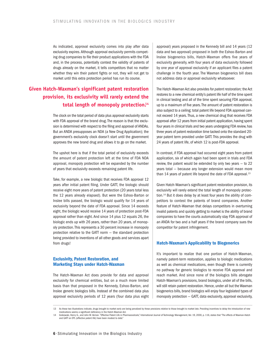As indicated, approval exclusivity comes into play after data exclusivity expires. Although approval exclusivity permits competing drug companies to file their product applications with the FDA and, in the process, potentially contest the validity of patents of drugs already on the market, it tells competitors that no matter whether they win their patent fights or not, they will not get to market until this extra protection period has run its course.

# **Given Hatch-Waxman's significant patent restoration provision, its exclusivity will rarely extend the total length of monopoly protection.14**

The clock on the total period of data plus approval exclusivity starts with FDA approval of the brand drug. The reason is that the exclusion is determined with respect to the filing and approval of ANDAs. But an ANDA presupposes an NDA (a New Drug Application); the government's exclusivity clock doesn't start until the government approves the new brand drug and allows it to go on the market.

The upshot here is that if the total period of exclusivity exceeds the amount of patent protection left at the time of FDA NDA approval, monopoly protection will be expanded by the number of years that exclusivity exceeds remaining patent life.

Take, for example, a new biologic that receives FDA approval 12 years after initial patent filing. Under GATT, the biologic should receive eight more years of patent protection (20 years total less the 12 years already elapsed). But were the Eshoo-Barton or Inslee bills passed, the biologic would qualify for 14 years of exclusivity beyond the date of FDA approval. Since 14 exceeds eight, the biologic would receive 14 years of protection post-FDA approval rather than eight. And since 14 plus 12 equals 26, the biologic ends up with 26 years, rather than 20 years, of monopoly protection. This represents a 30 percent increase in monopoly protection relative to the GATT norm — the standard protection being provided to inventions of all other goods and services apart from drugs!

# **Exclusivity, Patent Restoration, and Marketing Stays under Hatch-Waxman**

The Hatch-Waxman Act does provide for data and approval exclusivity for chemical entities, but on a much more limited basis than that proposed in the Kennedy, Eshoo-Barton, and Inslee generic biologics bills. Instead of the combined data plus approval exclusivity periods of 12 years (four data plus eight

approval) years proposed in the Kennedy bill and 14 years (12 data and two approval) proposed in both the Eshoo-Barton and Inslee biogenerics bills, Hatch-Waxman offers five years of exclusivity generally, with four years of data exclusivity followed by one year of approval exclusivity if an applicant files a patent challenge in the fourth year. The Waxman biogenerics bill does not address data or approval exclusivity whatsoever.

The Hatch-Waxman Act also provides for *patent restoration;* the Act restores to a new chemical entity's patent life half of the time spent in clinical testing and all of the time spent securing FDA approval, up to a maximum of five years. The amount of patent restoration is also subject to a ceiling; total patent life beyond FDA approval cannot exceed 14 years. Thus, a new chemical drug that receives FDA approval after 12 years from initial patent application, having spent four years in clinical trials and two years undergoing FDA review, has three years of patent restoration time tacked onto the standard 20 year patent term provided under GATT. This provides the drug with 24 years of patent life, of which 12 is post-FDA approval.

In contrast, if FDA approval had occurred eight years from patent application, six of which again had been spent in trials and FDA review, the patent would be extended by only two years — to 22 years total — because any longer extension would mean more than 14 years of patent life beyond the date of FDA approval.<sup>13</sup>

Given Hatch-Waxman's significant patent restoration provision, its exclusivity will rarely extend the total length of monopoly protection.14 But it does delay by at least four years the ability of competitors to contest the patents of brand companies. Another feature of Hatch-Waxman that delays competitors in overturning invalid patents and quickly getting to market is the ability of brand companies to have the courts automatically stay FDA approval of an ANDA for two and a half years if the brand company sues the competitor for patent infringement.

#### **Hatch-Waxman's Applicability to Biogenerics**

It's important to realize that one portion of Hatch-Waxman, namely patent-term restoration, applies to biologic medications as well as chemical medications, even though there is currently no pathway for generic biologics to receive FDA approval and reach market. And since none of the biologics bills abrogate Hatch-Waxman's provisions, brand biologics, under all of the bills, will still retain patent restoration. Hence, under all but the Waxman biogenerics bills, brand biologics will enjoy four legislated types of monopoly protection — GATT, data exclusivity, approval exclusivity,

<sup>13</sup> As these two illustrations indicate, drugs brought to market early are being penalized by these provisions relative to those brought to market late. Providing incentives to delay the introduction of new medications seems a significant deficiency in the Hatch-Waxman Act.

<sup>14</sup> Grabowski, Henry G., and John M. Vernon. "Effective Patent Life in Pharmaceuticals," International Journal of Technology Management, Vol. 19, 2000, p. 116, states that "The effects of Waxman-Hatch and GATT on EPL (effective patent life) have been modest to date.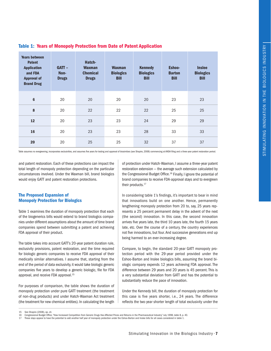| <b>Years between</b><br><b>Patent</b><br><b>Application</b><br>and FDA<br><b>Approval of</b><br><b>Brand Drug</b> | $GATT -$<br>Non-<br><b>Drugs</b> | Hatch-<br><b>Waxman</b><br><b>Chemical</b><br><b>Drugs</b> | <b>Waxman</b><br><b>Biologics</b><br><b>Bill</b> | <b>Kennedy</b><br><b>Biologics</b><br><b>Bill</b> | Eshoo-<br><b>Barton</b><br><b>Bill</b> | <b>Inslee</b><br><b>Biologics</b><br><b>Bill</b> |
|-------------------------------------------------------------------------------------------------------------------|----------------------------------|------------------------------------------------------------|--------------------------------------------------|---------------------------------------------------|----------------------------------------|--------------------------------------------------|
| $6\phantom{1}$                                                                                                    | 20                               | 20                                                         | 20                                               | 20                                                | 23                                     | 23                                               |
| 8                                                                                                                 | 20                               | 22                                                         | 22                                               | 22                                                | 25                                     | 25                                               |
| 12                                                                                                                | 20                               | 23                                                         | 23                                               | 24                                                | 29                                     | 29                                               |
| 16                                                                                                                | 20                               | 23                                                         | 23                                               | 28                                                | 33                                     | 33                                               |
| 20                                                                                                                | 20                               | 25                                                         | 25                                               | 32                                                | 37                                     | 37                                               |

# **Table 1: Years of Monopoly Protection from Date of Patent Application**

Table assumes no evergreening, incorporates exclusivities, and assumes five years for testing and approval of biosimilars (see Shapiro, 2008) commencing at ANDA filing and a three-year patent restoration period.

and patent restoration. Each of these protections can impact the total length of monopoly protection depending on the particular circumstances involved. Under the Waxman bill, brand biologics would enjoy GATT and patent restoration protections.

# **The Proposed Expansion of Monopoly Protection for Biologics**

Table 1 examines the duration of monopoly protection that each of the biogenerics bills would extend to brand biologics companies under different assumptions about the amount of time brand companies spend between submitting a patent and achieving FDA approval of their product.

The table takes into account GATT's 20-year patent duration rule, exclusivity provisions, patent restoration, and the time required for biologic generic companies to receive FDA approval of their medically similar alternatives. I assume that, starting from the end of the period of data exclusivity, it would take biologic generic companies five years to develop a generic biologic, file for FDA approval, and receive FDA approval.15

For purposes of comparison, the table shows the duration of monopoly protection under pure GATT treatment (the treatment of non-drug products) and under Hatch-Waxman Act treatment (the treatment for new chemical entities). In calculating the length

of protection under Hatch-Waxman, I assume a three-year patent restoration extension — the average such extension calculated by the Congressional Budget Office.16 Finally, I ignore the potential of brand companies to receive FDA-approval stays and to evergreen their products.<sup>17</sup>

In considering table 1's findings, it's important to bear in mind that innovations build on one another. Hence, permanently lengthening monopoly protection from 20 to, say, 25 years represents a 25 percent permanent delay in the advent of the next (the second) innovation. In this case, the second innovation arrives five years late, the third 10 years late, the fourth 15 years late, etc. Over the course of a century, the country experiences not five innovations, but four. And successive generations end up being harmed to an ever-increasing degree.

Compare, to begin, the standard 20-year GATT monopoly protection period with the 29-year period provided under the Eshoo-Barton and Inslee biologics bills, assuming the brand biologic company expends 12 years achieving FDA approval. The difference between 29 years and 20 years is 45 percent. This is a very substantial deviation from GATT and has the potential to substantially reduce the pace of innovation.

Under the Kennedy bill, the duration of monopoly protection for this case is five years shorter, i.e., 24 years. The difference reflects the two-year shorter length of total exclusivity under the

<sup>15</sup> See Shapiro (2008), op. cit.

<sup>16</sup> Congressional Budget Office, "How Increased Competition from Generic Drugs Has Affected Prices and Returns in the Pharmaceutical Industry" July 1998, table 8, p. 40.<br>17 These stavs appear to have the potential to add an

These stays appear to have the potential to add another half year of monopoly protection under the Eshoo-Barton and Inslee bills for all cases considered in table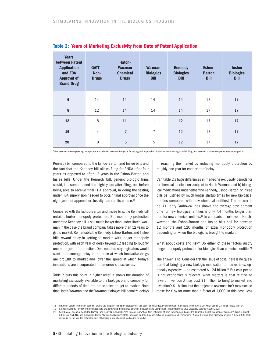| <b>Years</b><br>between Patent<br><b>Application</b><br>and FDA<br><b>Approval of</b><br><b>Brand Drug</b> | $GATT -$<br>Non-<br><b>Drugs</b> | Hatch-<br><b>Waxman</b><br><b>Chemical</b><br><b>Drugs</b> | <b>Waxman</b><br><b>Biologics</b><br><b>Bill</b> | <b>Kennedy</b><br><b>Biologics</b><br><b>Bill</b> | Eshoo-<br><b>Barton</b><br><b>Bill</b> | <b>Inslee</b><br><b>Biologics</b><br><b>Bill</b> |
|------------------------------------------------------------------------------------------------------------|----------------------------------|------------------------------------------------------------|--------------------------------------------------|---------------------------------------------------|----------------------------------------|--------------------------------------------------|
| $6\phantom{a}$                                                                                             | 14                               | 14                                                         | 14                                               | 14                                                | 17                                     | 17                                               |
| 8                                                                                                          | 12                               | 14                                                         | 14                                               | 14                                                | 17                                     | 17                                               |
| 12                                                                                                         | 8                                | 11                                                         | 11                                               | 12                                                | 17                                     | 17                                               |
| 16                                                                                                         | 4                                | $\overline{7}$                                             | 7                                                | 12                                                | 17                                     | 17                                               |
| 20                                                                                                         | $\mathbf 0$                      | 5                                                          | 5                                                | 12                                                | 17                                     | 17                                               |

#### **Table 2: Years of Marketing Exclusivity from Date of Patent Application**

Table assumes no evergreening, incorporates exclusivities, assumes five years for testing and approval of biosimilars commencing at ANDA filing, and assumes a three-year patent restoration period.

Kennedy bill compared to the Eshoo-Barton and Inslee bills and the fact that the Kennedy bill allows filing for ANDA after four years as opposed to after 12 years in the Eshoo-Barton and Inslee bills. Under the Kennedy bill, generic biologic firms would, I assume, spend the eight years after filing, but before being able to receive final FDA approval, in doing the testing under FDA supervision needed to obtain final approval once the eight years of approval exclusivity had run its course.<sup>18</sup>

Compared with the Eshoo-Barton and Inslee bills, the Kennedy bill entails shorter monopoly protection. But monopoly protection under the Kennedy bill is still much longer than under Hatch-Waxman in the case the brand company takes more than 12 years to get to market. Remarkably, the Kennedy, Eshoo-Barton, and Inslee bills reward delay in getting to market with longer monopoly protection, with each year of delay beyond 12 leading to roughly one more year of protection. One wonders why legislators would want to encourage delay in the pace at which innovative drugs are brought to market and lower the speed at which today's innovations are incorporated in tomorrow's discoveries.

Table 2 puts this point in higher relief. It shows the duration of marketing exclusivity available to the biologic brand company for different periods of time the brand takes to get to market. Note that Hatch-Waxman and the Waxman biologics bill penalize delays

in reaching the market by reducing monopoly protection by roughly one year for each year of delay.

Can table 2's huge differences in marketing exclusivity periods for a) chemical medications subject to Hatch-Waxman and b) biological medications under either the Kennedy, Eshoo-Barton, or Inslee bills be justified by much longer startup times for new biological entities compared with new chemical entities? The answer is no. As Henry Grabowski has shown, the average development time for new biological entities is only 7.4 months longer than that for new chemical entities.<sup>19</sup> In comparison, relative to Hatch-Waxman, the Eshoo-Barton and Inslee bills call for between 12 months and 120 months of extra monopoly protection depending on when the biologic is brought to market.

What about costs and risk? Do either of these factors justify longer monopoly protection for biologics than chemical entities?

The answer is no. Consider first the issue of cost. There is no question that bringing a new biologic medication to market is exceptionally expensive  $-$  an estimated \$1.24 billion.<sup>20</sup> But cost per se is not economically relevant. What matters is cost relative to reward. Invention X may cost \$1 million to bring to market and invention Y \$1 billion, but the projected revenues for Y may exceed those for X by far more than a factor of 1,000. In this case, less

<sup>18</sup> Note that patent restoration does not extend the length of monopoly protection in this case, since it adds, by assumption, three years to the GATT's 20, which equals 23, which is less than 24.

<sup>19</sup> Grabowski, Henry. "Follow-On Biologics: Data Exclusivity and the Balance Between Innovation and Competition." Nature Reviews Drug Discovery. Volume 7, June 2008.

<sup>20</sup> See DiMasi, Joseph A. Ronald W. Hansen, and Henry G. Grabowski, "The Price of Innovation: New Estimates of Drug Development Costs," The Journal of Health Economics, Volume 22, Issue 2, March 2003, pp. 151-185 and Grabowski, Henry, "Follow-On Biologics: Data Exclusivity and the Balance Between Innovation and Competition," Nature Reviews Drug Discovery, Volume 7, June 2008. \$802 million is, by the way, the estimated cost of bringing a new chemical medication to market.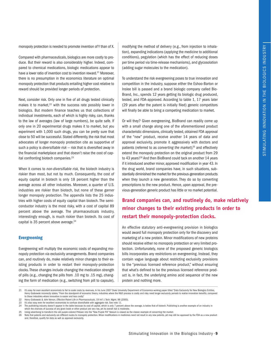monopoly protection is needed to promote invention of Y than of X.

Compared with pharmaceuticals, biologics are more costly to produce. But their reward is also considerably higher. Indeed, compared to chemical medications, biologic medications appear to have a lower ratio of invention cost to invention reward.<sup>21</sup> Moreover, there is no presumption in the economics literature on optimal monopoly protection that products entailing higher cost relative to reward should be provided longer periods of protection.

Next, consider risk. Only one in five of all drugs tested clinically makes it to market,<sup>22</sup> with the success rate possibly lower in biologics. But modern finance teaches us that collections of individual investments, each of which is highly risky, can, thanks to the law of averages (law of large numbers), be quite safe. If only one in 20 experimental drugs makes it to market, but you experiment with 1,000 such drugs, you can be pretty sure that close to 50 will be successful. Stated differently, the risk that most advocates of longer monopoly protection cite as supportive of such a policy is *diversifiable risk* — risk that is diversified away in the financial marketplace and that doesn't raise the cost of capital confronting biotech companies.<sup>23</sup>

When it comes to *non-diversifiable risk,* the biotech industry is riskier than most, but not by much. Consequently, the cost of equity capital in biotech is only 18 percent higher than the average across all other industries. Moreover, a quarter of U.S. industries are riskier than biotech, but none of these garner longer monopoly protection. The appendix lists the 25 industries with higher costs of equity capital than biotech. The semiconductor industry is the most risky, with a cost of capital 89 percent above the average. The pharmaceuticals industry, interestingly enough, is much riskier than biotech. Its cost of capital is 35 percent above average.<sup>24</sup>

#### **Evergreening**

Evergreening will multiply the economic costs of expanding monopoly protection via exclusivity arrangements. Brand companies can, and routinely do, make relatively minor changes to their existing products in order to restart their monopoly-protection clocks. These changes include changing the medication strength of pills (e.g., changing the pills from .10 mg to .15 mg), changing the form of medication (e.g., switching from pill to capsule),

modifying the method of delivery (e.g., from injection to inhalation), expanding indications (applying the medicine to additional conditions), pegylation (which has the effect of reducing doses per time period via time-release mechanisms), and glycosolation (adding sugar molecules to the medication).

To understand the risk evergreening poses to true innovation and competition in the industry, suppose either the Eshoo-Barton or Inslee bill is passed and a brand biologic company called Bio-Brand, Inc., spends 12 years getting its biologic drug produced, tested, and FDA-approved. According to table 1, 17 years later (29 years after the patent is initially filed) generic competitors will finally be able to bring a competing medication to market.

Or will they? Given evergreening, BioBrand can readily come up with a small change along one of the aforementioned product characteristic dimensions, clinically tested, obtained FDA approval of the "new" product, receive another 14 years of data and approval exclusivity, promote it aggressively with doctors and patients (referred to as *converting the market*),<sup>25</sup> and effectively extend the monopoly protection on the original product from 29 to 43 years!<sup>26</sup> And then BioBrand could tack on another 14 years if it introduced another minor, approved modification in year 43. In the drug world, brand companies have, in such situations, substantially diminished the market for the previous-generation products when they launch a new generation. They do so by converting prescriptions to the new product. Hence, upon approval, the previous-generation generic product has little or no market potential.

**Brand companies can, and routinely do, make relatively minor changes to their existing products in order to restart their monopoly-protection clocks.**

An effective statutory anti-evergreening provision in biologlcs would award full monopoly protection only for the discovery and marketing of a new protein. Minor modifications of new proteins should receive either no monopoly protection or very limited protection. Unfortunately, none of the proposed generic biologics bills incorporates any restrictions on evergreening. Instead, they contain vague language about restricting exclusivity provisions to the "previous licensed reference product," without ensuring that what's defined to be the previous licensed reference product is, in fact, the underlying amino acid sequence of the new protein and nothing more.

<sup>21</sup> It's easy for even excellent economists to fail to scale costs by revenues. In his June 2007 Duke University Department of Economics working paper titled "Data Exclusivity for New Biologics Entities, Henry Grabowski incorrectly states, "From the standpoint of economic theory, industries where the R&D process is costly and risky need longer exclusivity periods to realize innovation benefits, compared to those industries where innovation is easier and less costly."

<sup>22</sup> Henry Grabowski & John Vernon, *Effective Patent Life in Pharmaceuticals*, 19 Int'l J. Tech. Mgmt. 98 (2000).

<sup>23</sup> It's also easy even for excellent economists to confuse diversifiable with aggregate risk. See note 11.

<sup>24</sup> The publishing industry doesn't appear in the table because its cost of capital, which is only 7 percent above the average, is below that of biotech. Publishing is another example of an industry in which the chances of success of any given book or other product are very low, yet its overall risk is moderate. 25 Using advertising to transform the old purple-colored Prilosec into the "New Purple Pill" Nexium is viewed as the classic example of *converting the market.*

<sup>26</sup> Note that patents and exclusivity are different routes to monopoly protection. Minor modifications in medicines need not result in any new patents, yet may still be approved by the FDA as a new product and, therefore, qualify for data as well as approval exclusivity.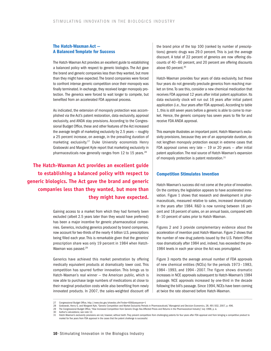# **The Hatch-Waxman Act — A Balanced Template for Success**

The Hatch-Waxman Act provides an excellent guide to establishing a balanced policy with respect to generic biologics. The Act gave the brand and generic companies less than they wanted, but more than they might have expected. The brand companies were forced to confront intense generic competition once their monopoly was finally terminated. In exchange, they received longer monopoly protection. The generics were forced to wait longer to compete, but benefited from an accelerated FDA approval process.

As indicated, the extension of monopoly protection was accomplished via the Act's patent restoration, data exclusivity, approval exclusivity, and ANDA stay provisions. According to the Congressional Budget Office, these and other features of the Act increased the average length of marketing exclusivity by 2.5 years — roughly a 25 percent increase, on average, in the prevailing duration of marketing exclusivity.27 Duke University economists Henry Grabowski and Margaret Kyle report that marketing exclusivity in pharmaceuticals now generally ranges from 12 to 15 years.<sup>28</sup>

**The Hatch-Waxman Act provides an excellent guide to establishing a balanced policy with respect to generic biologics. The Act gave the brand and generic companies less than they wanted, but more than they might have expected.**

> Gaining access to a market from which they had formerly been excluded (albeit 2.5 years later than they would have preferred) has been a major incentive for generic pharmaceutical companies. Generics, including generics produced by brand companies, now account for two-thirds of the nearly 4 billion U.S. prescriptions being filled each year. This is remarkable given that the generics' prescription share was only 19 percent in 1984 when Hatch-Waxman was passed.<sup>29</sup>

> Generics have achieved this market penetration by offering medically equivalent products at dramatically lower cost. This competition has spurred further innovation. This brings us to Hatch-Waxman's real winner — the American public, which is now able to purchase large numbers of medications at close to their marginal production costs while also benefiting from newly innovated products. In 2007, the sales-weighted discount off

the brand price of the top 100 (ranked by number of prescriptions) generic drugs was 29.0 percent. This is just the average discount. A total of 22 percent of generics are now offering discounts of 40–60 percent, and 20 percent are offering discounts above 60 percent.<sup>30</sup>

Hatch-Waxman provides four years of data exclusivity, but these four years do not generally preclude generics from reaching market on time. To see this, consider a new chemical medication that receives FDA approval 12 years after initial patent application. Its data exclusivity clock will run out 16 years after initial patent application (i.e., four years after FDA approval). According to table 1, this is still seven years before a generic is able to come to market. Hence, the generic company has seven years to file for and receive FDA ANDA approval.

This example illustrates an important point. Hatch-Waxman's exclusivity provisions, because they are of an appropriate duration, do not lengthen monopoly protection except in extreme cases that FDA approval comes very late  $-19$  or 20 years  $-$  after initial patent application. The real source of Hatch-Waxman's expansion of monopoly protection is patent restoration.<sup>31</sup>

#### **Competition Stimulates Invention**

Hatch-Waxman's success did not come at the price of innovation. On the contrary, the legislation appears to have accelerated innovation. Figure 1 shows that research and development in pharmaceuticals, measured relative to sales, increased dramatically in the years after 1984. R&D is now running between 16 percent and 18 percent of sales, on an annual basis, compared with 8–10 percent of sales prior to Hatch-Waxman.

Figures 2 and 3 provide complementary evidence about the acceleration of invention post Hatch-Waxman. Figure 2 shows that the number of new drug patents issued by the U.S. Patent Office rose dramatically after 1984 and, indeed, has exceeded the pre-1984 levels in each year since the Act was promulgated.

Figure 3 reports the average annual number of FDA approvals of new chemical entities (NCEs) for the periods 1973 – 1983, 1984 – 1993, and 1994 – 2007. The figure shows dramatic increases in NCE approvals subsequent to Hatch-Waxman's 1984 passage. NCE approvals increased by one-third in the decade following the bill's passage. Since 1994, NCEs have been coming at twice the rate observed before Hatch-Waxman.

<sup>27</sup> Congressional Budget Office, http://www.cbo.gov/showdoc.cfm?index+656&sequence=1

<sup>28</sup> Grabowski, Henry G. and Margaret Kyle, "Generic Competition and Market Exclusivity Periods in Pharmaceuticals," *Managerial and Decision Economics,* 28, 491-502, 2007, p. 496.

<sup>29</sup> The Congressional Budget Office, "How Increased Competition from Generic Drugs Has Affected Prices and Returns in the Pharmaceutical Industry," July 1998, p. ix.

<sup>30</sup> Author's calculations; see note 12.

<sup>31</sup> Hatch-Waxman's exclusivity provisions are not, however, without teeth. They prevent competitors from challenging patents for four years after FDA approval and from bringing a competitive product to market for five years from FDA approval in the cases that the patent challenge is successful.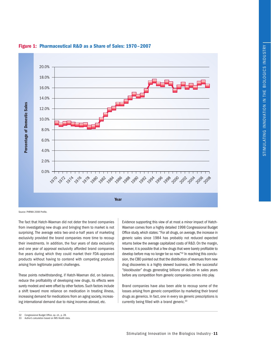![](_page_12_Figure_1.jpeg)

## **Figure 1: Pharmaceutical R&D as a Share of Sales: 1970–2007**

The fact that Hatch-Waxman did not deter the brand companies from investigating new drugs and bringing them to market is not surprising. The average extra two-and-a-half years of marketing exclusivity provided the brand companies more time to recoup their investments. In addition, the four years of data exclusivity and one year of approval exclusivity afforded brand companies five years during which they could market their FDA-approved products without having to contend with competing products arising from legitimate patent challenges.

These points notwithstanding, if Hatch-Waxman did, on balance, reduce the profitability of developing new drugs, its effects were surely modest and were offset by other factors. Such factors include a shift toward more reliance on medication in treating illness, increasing demand for medications from an aging society, increasing international demand due to rising incomes abroad, etc.

Evidence supporting this view of at most a minor impact of Hatch-Waxman comes from a highly detailed 1998 Congressional Budget Office study, which states: "For all drugs, on average, the increase in generic sales since 1984 has probably not reduced expected returns below the average capitalized costs of R&D. On the margin, however, it is possible that a few drugs that were barely profitable to develop before may no longer be so now."<sup>32</sup> In reaching this conclusion, the CBO pointed out that the distribution of revenues from new drug discoveries is a highly skewed business, with the successful "blockbuster" drugs generating billions of dollars in sales years before any competition from generic companies comes into play.

Brand companies have also been able to recoup some of the losses arising from generic competition by marketing their brand drugs as generics. In fact, one in every six generic prescriptions is currently being filled with a brand generic.<sup>33</sup>

Source: PHRMA 2008 Profile.

<sup>32</sup> Congressional Budget Office, op. cit., p. 28.<br>33 Author's calculation based on IMS Health d

Author's calculation based on IMS Health data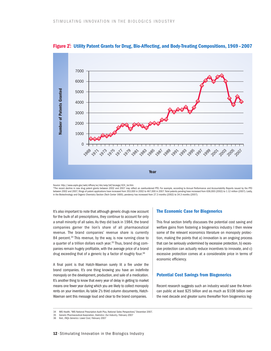![](_page_13_Figure_1.jpeg)

**Figure 2\* : Utility Patent Grants for Drug, Bio-Affecting, and Body-Treating Compositions, 1969–2007**

Source: http://www.uspto.gov/web/offices/ac/ido/oeip/taf/tecasga/424\_tor.htm

\*The recent decline in new drug patent grants between 2002 and 2007 may reflect an overburdened PTO. For example, according to Annual Performance and Accountability Reports issued by the PTO between 2002 and 2007, filings of patent applications have increased from 353,000 in 2002 to 467,000 in 2007. Total patents pending have increased from 636,000 (2002) to 1.12 million (2007). Lastly,<br>in the Biotechnology an

It's also important to note that although generic drugs now account for the bulk of all prescriptions, they continue to account for only a small minority of all sales. As they did back in 1984, the brand companies garner the lion's share of all pharmaceutical revenue. The brand companies' revenue share is currently 84 percent.<sup>34</sup> This revenue, by the way, is now running close to a quarter of a trillion dollars each year.<sup>35</sup> Thus, brand drug companies remain hugely profitable, with the average price of a brand drug exceeding that of a generic by a factor of roughly four.<sup>36</sup>

A final point is that Hatch-Waxman surely lit a fire under the brand companies. It's one thing knowing you have an indefinite monopoly on the development, production, and sale of a medication. It's another thing to know that every year of delay in getting to market means one fewer year during which you are likely to collect monopoly rents on your invention. As table 2's third column documents, Hatch-Waxman sent this message loud and clear to the brand companies.

#### **The Economic Case for Biogenerics**

This final section briefly discusses the potential cost saving and welfare gains from fostering a biogenerics industry. I then review some of the relevant economics literature on monopoly protection, making the points that a) innovation is an ongoing process that can be seriously undermined by excessive protection, b) excessive protection can actually reduce incentives to innovate, and c) excessive protection comes at a considerable price in terms of economic efficiency.

#### **Potential Cost Savings from Biogenerics**

Recent research suggests such an industry would save the American public at least \$25 billion and as much as \$108 billion over the next decade and greater sums thereafter from biogenerics leg-

<sup>34</sup> IMS Health, "IMS National Prescription Audit Plus, National Sales Perspectives," December 2007.

<sup>35</sup> Generic Pharmaceutical Association, *Statistics: Our Industry,* February 2007

<sup>36</sup> Ibid., *FAQs Generics: Lower Cost,* February 2007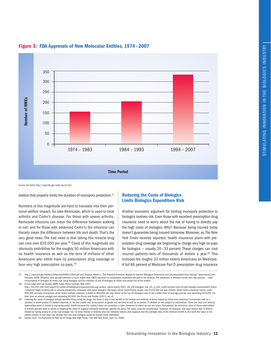![](_page_14_Figure_1.jpeg)

# **Figure 3: FDA Approvals of New Molecular Entities, 1974–2007**

Source (for both) http://www.fda.gov/cder/da/da.htm

islation that properly limits the duration of monopoly protection.<sup>37</sup>

Numbers of this magnitude are hard to translate into their personal welfare impact. So take Remicade, which is used to treat arthritis and Crohn's disease. For those with severe arthritis, Remicade infusions can mean the difference between walking or not; and for those with advanced Crohn's, the infusions can literally mean the difference between life and death. That's the very good news. The bad news is that taking this miracle drug can cost over \$20,000 per year.38 Costs of this magnitude are obviously prohibitive for the roughly 50 million Americans with no health insurance as well as the tens of millions of other Americans who either have no prescription drug coverage or face very high prescription co-pays.39

## **Reducing the Costs of Biologics Limits Biologics Expenditure Risk**

Another economic argument for limiting monopoly protection to biologics involves risk. Even those with excellent prescription drug insurance need to worry about the risk of having to directly pay the high costs of biologics. Why? Because being insured today doesn't guarantee being insured tomorrow. Moreover, as *The New York Times* recently reported, health insurance plans with prescription drug coverage are beginning to charge very high co-pays for biologics — usually 20– 33 percent. These charges can cost *insured* patients tens of thousands of dollars a year.<sup>40</sup> This includes the roughly 33 million elderly Americans on Medicare. A full 86 percent of Medicare Part D prescription drug insurance

<sup>37</sup> http://www.cbo.gov/ftpdocs/94xx/doc9496/s1695.pdf and Shapiro, Robert J. "The Potential American Market for Generic Biological Treatments and the Associated Cost Savings." www.insmed.com. February 2008. Shapiro's cost savings estimate is much higher than CBO's because he incorporates expanded demand in his analysis. The expansion in demand comes from two sources – more consumption of biologics by those now using biologics and the initiation of use of biologics by those now priced out of the market. 38 Purvis,Leigh and Lee Rucker, AARP, Public Policy Institute, May 2007.

http://64.233.169.104/search?q=cache:x2DoGbAvwrcJ:www.tenncare.org/actions\_alerts/alerts/2007\_06\_09/biologics\_top\_20\_q\_and\_a.pdf+annual+cost+of+top+biologic+products&hl=en&ct =clnk&cd=3&gl=us Remicade is actually inexpensive compared with some biologics. Herceptin, which treats breast cancer, runs \$124,000 per year. Avastin, which treats colorectal cancer, costs \$60,000 annually, and Avonex, which treats multiple sclerosis, is billed at \$84,000 per year. Twelve of the top 20 biologics now on the market have an average cost per year exceeding \$10,000. Sixteen have an annual average cost exceeding \$5,000. See Purvis and Rucker (2007), op. cit.

<sup>39</sup> Lowering the costs of biologics directly benefits those using the drugs, but there is also a real benefit to the friends and relatives of those helped by these new medicines. Economists refer to a situation in which person X's welfare depends on his own health and consumption or goods and services as well as on person Y's welfare as one subject to externalities. There are clear and obvious<br>externalities when it come is entirely ignored when it comes to weighing the costs of ongoing monopoly protection against the gains. The value could be considerable. Suppose, for example, that each person who is directly helped by having access to a low-cost biologic has 10 close friends or relatives who are indirectly helped. Also suppose that the average value of the external benefit is one-tenth the value to the patient herself. In this case, the savings from low-cost biologics would be double those estimated.

<sup>40</sup> Golata, Gina, "Co-Payments Go Way Up for Drugs with High Prices," *The New York Times,* April 14, 2008.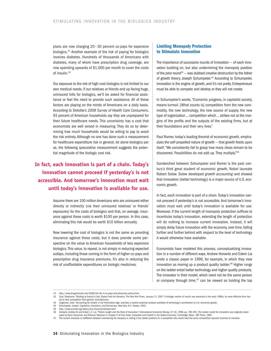plans are now charging 20– 30 percent co-pays for expensive biologics.41 Another example of the risk of paying for biologics involves diabetes. Hundreds of thousands of Americans with diabetes, many of whom have prescription drug coverage, are now spending upwards of \$1,000 per month to cover the costs of insulin.42

Our exposure to the risk of high-cost biologics is not limited to our own medical needs. If our relatives or friends end up facing huge, uninsured bills for biologics, we'll be asked for financial assistance or feel the need to provide such assistance. All of these factors are playing on the minds of Americans on a daily basis. According to Deloitte's *2008 Survey of Health Care Consumers,* 93 percent of American households say they are unprepared for their future healthcare needs. This uncertainty has a cost that economists are well versed in measuring. They do so by determining how much households would be willing to pay to avoid the risk entirely. Although no one has done such a measurement for healthcare expenditure risk in general, let alone biologics per se, the following speculative measurement suggests the potential magnitude of the biologic cost risk.

**In fact, each innovation is part of a chain. Today's innovation cannot proceed if yesterday's is not accessible. And tomorrow's innovation must wait until today's innovation is available for use.** 

> Assume there are 100 million Americans who are uninsured either directly or indirectly (via their uninsured relatives' or friends' exposures) for the costs of biologics and that, on average, insurance against these costs is worth \$100 per person. In this case, eliminating this risk would be worth \$10 billion annually.

> Now lowering the cost of biologics is not the same as providing insurance against these costs, but it does provide some perspective on the value to American households of less expensive biologics. This value, to repeat, is not simply in reducing expected outlays, including those coming in the form of higher co-pays and prescription drug insurance premiums. It's also in reducing the risk of unaffordable expenditures on biologic medicines.

#### **Limiting Monopoly Protection to Stimulate Innovation**

The importance of successive rounds of innovation — of each innovation building on, but also undermining the monopoly position of the prior round43 — was dubbed *creative destruction* by the father of growth theory, Joseph Schumpeter.<sup>44</sup> According to Schumpeter, innovation is the engine of growth, and it's not pretty. Entrepreneurs must be able to compete and destroy or they will not create.

In Schumpeter's words, "Economic progress, in capitalist society, means turmoil. [What counts is] competition from the new commodity, the new technology, the new source of supply, the new type of organization... competition which... strikes not at the margins of the profits and the outputs of the existing firms, but at their foundations and their very lives."

Paul Romer, today's leading theorist of economic growth, emphasizes the self-propelled nature of growth — that growth feeds upon itself. "We consistently fail to grasp how many ideas remain to be discovered. Possibilities do not add up. They multiply."45

Sandwiched between Schumpeter and Romer is the past century's third great student of economic growth, Nobel laureate Robert Solow. Solow developed *growth accounting* and showed that innovation (better technology) is a major source of U.S. economic growth.

In fact, each innovation is part of a chain. Today's innovation cannot proceed if yesterday's is not accessible. And tomorrow's innovation must wait until today's innovation is available for use. Moreover, if the current length of monopoly protection suffices to incentivize today's innovation, extending the length of protection will do nothing to increase current innovation. Instead, it will simply delay future innovation with the economy, over time, falling further and further behind with respect to the level of technology it would otherwise have available.

Economists have modeled this process, conceptualizing innovation in a number of different ways. Andrew Horowitz and Edwin Lia wrote a classic paper in 1996, for example, in which they view innovation as moving up a product quality ladder.<sup>46</sup> Higher rungs on the ladder entail better technology and higher quality products. The innovator in their model, which need not be the same person or company through time, $47$  can be viewed as holding the top

<sup>41</sup> http://www.drugchannels.net/2008/04/tier-4-co-pays-and-pharmacy-prices.html.<br>42 Saul Stephanie "Rridling at Insulin's Cost States Push for Generics The New York

Saul, Stephanie, "Bridling at Insulin's Cost, States Push for Generics, *The New York Times*, January 11, 2007. A biologic version of insulin was extracted in the early 1980s; its most effective form has yet to face competition from generic manufacturers.

<sup>43</sup> Jorgenson, Dale, "Accounting for Growth in the Information Age," provides a careful empirical analysis available of technology's contribution to U.S. economic growth.<br>44 Schumpeter, Joseph, Capitalism, Socialism, and De

<sup>44</sup> Schumpeter, Joseph, *Capitalism, Socialism, and Democracy,* New York, N.Y.: Harper, 1942.

<sup>45</sup> http://www.econlib.org/library/Enc/EconomicGrowth.html

<sup>46</sup> Horowitz, Andrew W. and Edwin L.C. Lai, "Patent Length and the Rate of Innovation," International Economic Review, 37 (4), 1996, pp. 785–901. The ladder model for innovation was originally devel-

oped by Gene Grossman and Elhanan Helpman in chapter 4 of their book, *Innovation and Growth in the Global Economy,* Cambridge, Mass.: MIT Press, 1992.

<sup>47</sup> The current innovator is indifferent between maintaining his company or selling it (his ladder position) to a competitor who would have the same competition-spurred incentive to innovate.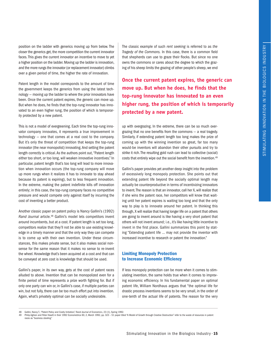position on the ladder with generics moving up from below. The closer the generics get, the more competition the current innovator faces. This gives the current innovator an incentive to move to yet a higher position on the ladder. Moving up the ladder is innovation, and the more rungs the innovator (or replacement innovator) climbs over a given period of time, the higher the rate of innovation.

Patent length in the model corresponds to the amount of time the government keeps the generics from using the latest technology — moving up the ladder to where the prior innovators have been. Once the current patent expires, the generic can move up. But when he does, he finds that the top-rung innovator has innovated to an even higher rung, the position of which is temporarily protected by a new patent.

This is not a model of evergreening. Each time the top-rung innovator company innovates, it represents a true improvement in technology — one that comes at a real cost to the company. But it's only the threat of competition that keeps the top-rung innovator (the near monopolist) innovating. And setting the patent length correctly is critical. As the authors point out, "Patent length either too short, or too long, will weaken innovative incentives." In particular, patent length that's too long will lead to more innovation when innovation occurs (the top-rung company will move up more rungs when it realizes it has to innovate to stay ahead because its patent is expiring), but to less frequent innovation. In the extreme, making the patent indefinite kills off innovation entirely; in this case, the top-rung company faces no competitive pressure and would compete only against itself by incurring the cost of inventing a better product.

Another classic paper on patent policy is Nancy Gallini's (1992) *Rand Journal* article.48 Gallini's model lets competitors invent around incumbents, but at a cost. If patent length is set too long, competitors realize that they'll not be able to use existing knowledge in a timely manner and that the only way they can compete is to come up with their own invention. Under these circumstances, this makes private sense, but it also makes social nonsense for the same reason that it makes no sense to re-invent the wheel. Knowledge that's been acquired at a cost and that can be conveyed at zero cost is knowledge that should be used.

Gallini's paper, in its own way, gets at the cost of patent races alluded to above. Invention that can be monopolized even for a finite period of time represents a prize worth fighting for. But if only one party can win or, in Gallini's case, if multiple parties can win, but not fully, there can be too much effort put into invention. Again, what's privately optimal can be socially undesirable.

The classic example of such *rent seeking* is referred to as *the Tragedy of the Commons.* In this case, there is a common field that shepherds can use to graze their flocks. But since no one owns the commons or cares about the degree to which the grazing of his sheep limits the grazing of other people's sheep, we end

**Once the current patent expires, the generic can move up. But when he does, he finds that the top-rung innovator has innovated to an even higher rung, the position of which is temporarily protected by a new patent.**

up with overgrazing. In the extreme, there can be so much overgrazing that no one benefits from the commons — a real tragedy. Similarly, if extending patent length too long makes the prize of coming up with the winning invention so great, far too many would-be inventors will abandon their other pursuits and try to strike it rich. The resulting gold rush can lead to collective (social) costs that entirely wipe out the social benefit from the invention.<sup>49</sup>

Gallini's paper provides yet another deep insight into the problem of excessively long monopoly protection. She points out that extending patent life beyond the socially optimal length may actually be counterproductive in terms of incentivizing innovators to invent. The reason is that an innovator, call her X, will realize that if she wins the patent race, her competitors will know that waiting until her patent expires is waiting too long and that the only way to play is to innovate around her patent. In thinking this through, X will realize that having longer life on a patent that others are going to invent around is like having a very short patent that others will not invent around; i.e., it's like having little incentive to invent in the first place. Gallini summarizes this point by stating "Extending patent life … may not provide the inventor with increased incentive to research or patent the innovation."

#### **Limiting Monopoly Protection to Increase Economic Efficiency**

If less monopoly protection can be more when it comes to stimulating invention, the same holds true when it comes to improving economic efficiency. In his fundamental paper on optimal patent life, William Nordhaus argues that "the optimal life for drastic process inventions seems to be very small, in the order of one-tenth of the actual life of patents. The reason for the very

<sup>48</sup> Gallini, Nancy T., "Patent Policy and Costly Imitation," *Rand Journal of Economics,* 23 (1), Spring 1992.

<sup>49</sup> Philip Aghion and Peter Howitt in their 1992 Econometrica 60, 2, March 1992, pp. 323 – 51 paper titled "A Model of Growth through Creative Destruction" refer to the waste of resources in patent races as "business stealing."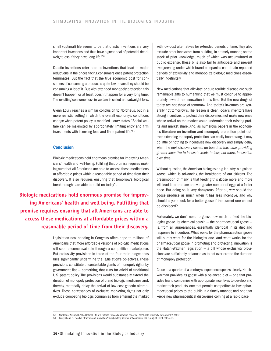small (optimal) life seems to be that drastic inventions are very important inventions and thus have a great deal of potential deadweight loss if they have long life."50

Drastic inventions refer here to inventions that lead to major reductions in the prices facing consumers once patent protection terminates. But the fact that the true economic cost for consumers of consuming a product is quite low means they should be consuming a lot of it. But with extended monopoly protection this doesn't happen, or at least doesn't happen for a very long time. The resulting consumer loss in welfare is called a deadweight loss.

Glenn Loury reaches a similar conclusion to Nordhaus, but in a more realistic setting in which the overall economy's conditions change when patent policy is modified. Loury states, "Social welfare can be maximized by appropriately limiting entry and firm investments with licensing fees and finite patent life."<sup>51</sup>

#### **Conclusion**

Biologic medications hold enormous promise for improving Americans' health and well-being. Fulfilling that promise requires making sure that all Americans are able to access these medications at affordable prices within a reasonable period of time from their discovery. It also requires ensuring that tomorrow's biological breakthroughs are able to build on today's.

**Biologic medications hold enormous promise for improving Americans' health and well being. Fulfilling that promise requires ensuring that all Americans are able to access these medications at affordable prices within a reasonable period of time from their discovery.**

> Legislation now pending in Congress offers hope to millions of Americans that more affordable versions of biologic medications will soon become available through a competitive marketplace. But exclusivity provisions in three of the four main biogenerics bills significantly undermine the legislation's objectives. These provisions constitute uncontestable grants of monopoly rights by government fiat — something that runs far afield of traditional U.S. patent policy. The provisions would substantially extend the duration of monopoly protection of brand biologic medicines and, thereby, materially delay the arrival of low-cost generic alternatives. These conveyances of exclusive marketing rights not only exclude competing biologic companies from entering the market

with low-cost alternatives for extended periods of time. They also exclude other innovators from building, in a timely manner, on the stock of prior knowledge, much of which was accumulated at public expense. These bills also fail to anticipate and prevent evergreening under which brand companies can obtain repeated periods of exclusivity and monopolize biologic medicines essentially indefinitely.

New medications that alleviate or cure terrible disease are such remarkable gifts to humankind that we must continue to appropriately reward true innovation in this field. But the new drugs of today are not those of tomorrow. And today's inventors are generally not tomorrow's. The reason is clear. Today's inventors have strong incentives to protect their discoveries, not make new ones whose arrival on the market would undermine their existing profits and market share. And, as numerous papers in the economics literature on invention and monopoly protection point out, over-extending monopoly protection can easily boomerang. It may do little or nothing to incentivize new discovery and simply delay when the next discovery comes on board. *In this case, providing greater incentive to innovate leads to less, not more, innovation over time.* 

Without question, the American biologics drug industry is a golden goose, which is advancing the healthcare of our citizens. The presumption of many is that feeding this goose more and more will lead it to produce an ever-greater number of eggs at a faster pace. But doing so is very dangerous. After all, why should the goose produce as much when it has less incentive, and why should anyone look for a better goose if the current one cannot be displaced?

Fortunately, we don't need to guess how much to feed the biologics goose. Its chemical cousin — the pharmaceutical goose is, from all appearances, essentially identical in its diet and response to incentives. What works for the pharmaceutical goose will surely work for the biologics one. And what works for the pharmaceutical goose in promoting and protecting innovation is the Hatch-Waxman legislation — a bill whose exclusivity provisions are sufficiently balanced as to not over-extend the duration of monopoly protection.

Close to a quarter of a century's experience speaks clearly. Hatch-Waxman provides its goose with a balanced diet — one that provides brand companies with appropriate incentives to develop and market their products, one that permits competitors to lower pharmaceutical prices to the public in a timely manner, and one that keeps new pharmaceutical discoveries coming at a rapid pace.

<sup>50</sup> Nordhaus, William D., "The Optimal Life of a Patent," Cowles Foundation paper no. 2421, Yale University, November 27, 1967.

<sup>51</sup> Loury, Glenn C., "Market Structure and Innovation," *The Quarterly Journal of Economics,* 93, 3, August 1979, 395–410.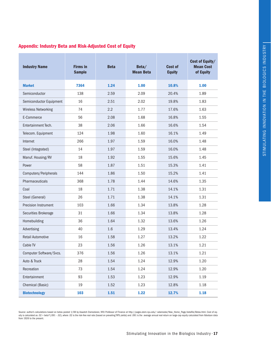# **Appendix: Industry Beta and Risk-Adjusted Cost of Equity**

| <b>Industry Name</b>       | <b>Firms in</b><br><b>Sample</b> | <b>Beta</b> | Beta/<br><b>Mean Beta</b> | <b>Cost of</b><br><b>Equity</b> | Cost of Equity/<br><b>Mean Cost</b><br>of Equity |
|----------------------------|----------------------------------|-------------|---------------------------|---------------------------------|--------------------------------------------------|
| <b>Market</b>              | 7364                             | 1.24        | 1.00                      | 10.8%                           | 1.00                                             |
| Semiconductor              | 138                              | 2.59        | 2.09                      | 20.4%                           | 1.89                                             |
| Semiconductor Equipment    | 16                               | 2.51        | 2.02                      | 19.8%                           | 1.83                                             |
| <b>Wireless Networking</b> | 74                               | 2.2         | 1.77                      | 17.6%                           | 1.63                                             |
| E-Commerce                 | 56                               | 2.08        | 1.68                      | 16.8%                           | 1.55                                             |
| Entertainment Tech.        | 38                               | 2.06        | 1.66                      | 16.6%                           | 1.54                                             |
| Telecom. Equipment         | 124                              | 1.98        | 1.60                      | 16.1%                           | 1.49                                             |
| Internet                   | 266                              | 1.97        | 1.59                      | 16.0%                           | 1.48                                             |
| Steel (Integrated)         | 14                               | 1.97        | 1.59                      | 16.0%                           | 1.48                                             |
| Manuf. Housing/RV          | 18                               | 1.92        | 1.55                      | 15.6%                           | 1.45                                             |
| Power                      | 58                               | 1.87        | 1.51                      | 15.3%                           | 1.41                                             |
| Computers/Peripherals      | 144                              | 1.86        | 1.50                      | 15.2%                           | 1.41                                             |
| Pharmaceuticals            | 368                              | 1.78        | 1.44                      | 14.6%                           | 1.35                                             |
| Coal                       | 18                               | 1.71        | 1.38                      | 14.1%                           | 1.31                                             |
| Steel (General)            | 26                               | 1.71        | 1.38                      | 14.1%                           | 1.31                                             |
| Precision Instrument       | 103                              | 1.66        | 1.34                      | 13.8%                           | 1.28                                             |
| Securities Brokerage       | 31                               | 1.66        | 1.34                      | 13.8%                           | 1.28                                             |
| Homebuilding               | 36                               | 1.64        | 1.32                      | 13.6%                           | 1.26                                             |
| Advertising                | 40                               | 1.6         | 1.29                      | 13.4%                           | 1.24                                             |
| <b>Retail Automotive</b>   | 16                               | 1.58        | 1.27                      | 13.2%                           | 1.22                                             |
| Cable TV                   | 23                               | 1.56        | 1.26                      | 13.1%                           | 1.21                                             |
| Computer Software/Svcs.    | 376                              | 1.56        | 1.26                      | 13.1%                           | 1.21                                             |
| Auto & Truck               | 28                               | 1.54        | 1.24                      | 12.9%                           | 1.20                                             |
| Recreation                 | 73                               | 1.54        | 1.24                      | 12.9%                           | 1.20                                             |
| Entertainment              | 93                               | 1.53        | 1.23                      | 12.9%                           | 1.19                                             |
| Chemical (Basic)           | 19                               | 1.52        | 1.23                      | 12.8%                           | 1.18                                             |
| <b>Biotechnology</b>       | 103                              | 1.51        | 1.22                      | 12.7%                           | 1.18                                             |

Source: author's calculations based on betas posted 1/08 by Aswatch Damodaran, NYU Professor of Finance at http://pages.stern.nyu.edu/~adamodar/New\_Home\_Page/datafile/Betas.html. Cost of eq-<br>uity is calculated as .02 + bet